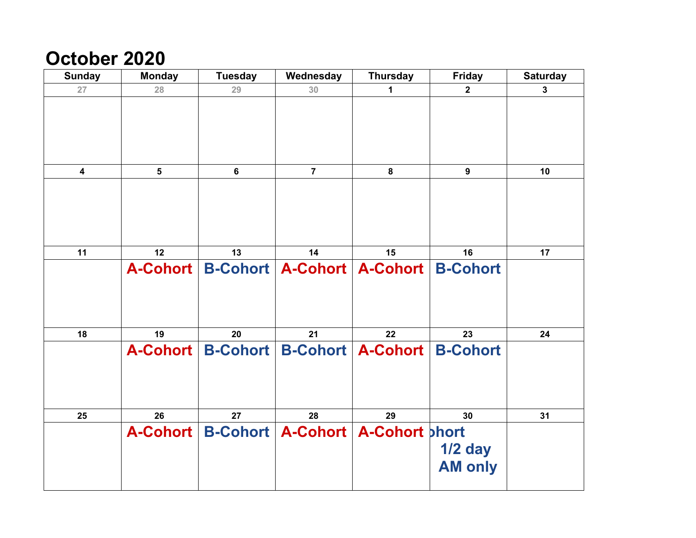## **October 2020**

| <b>Sunday</b>           | <b>Monday</b>  | <b>Tuesday</b>      | Wednesday                                       | <b>Thursday</b>          | <b>Friday</b>    | <b>Saturday</b> |
|-------------------------|----------------|---------------------|-------------------------------------------------|--------------------------|------------------|-----------------|
| 27                      | 28             | 29                  | 30                                              | 1                        | $\mathbf{2}$     | $\mathbf{3}$    |
|                         |                |                     |                                                 |                          |                  |                 |
|                         |                |                     |                                                 |                          |                  |                 |
|                         |                |                     |                                                 |                          |                  |                 |
|                         |                |                     |                                                 |                          |                  |                 |
| $\overline{\mathbf{4}}$ | $5\phantom{a}$ | $6\phantom{1}6$     | $\overline{7}$                                  | 8                        | $\boldsymbol{9}$ | 10              |
|                         |                |                     |                                                 |                          |                  |                 |
|                         |                |                     |                                                 |                          |                  |                 |
|                         |                |                     |                                                 |                          |                  |                 |
|                         |                |                     |                                                 |                          |                  |                 |
| 11                      | 12             | 13                  | 14                                              | 15                       | 16               | 17              |
|                         |                |                     | A-Cohort   B-Cohort   A-Cohort   A-Cohort       |                          | <b>B-Cohort</b>  |                 |
|                         |                |                     |                                                 |                          |                  |                 |
|                         |                |                     |                                                 |                          |                  |                 |
|                         |                |                     |                                                 |                          |                  |                 |
| 18                      | 19             | 20                  | 21                                              | 22                       | 23               | 24              |
|                         |                | A-Cohort   B-Cohort |                                                 | <b>B-Cohort A-Cohort</b> | <b>B-Cohort</b>  |                 |
|                         |                |                     |                                                 |                          |                  |                 |
|                         |                |                     |                                                 |                          |                  |                 |
|                         |                |                     |                                                 |                          |                  |                 |
|                         |                |                     |                                                 |                          |                  |                 |
| 25                      | 26             | 27                  | 28                                              | 29                       | 30               | 31              |
|                         |                |                     | A-Cohort   B-Cohort   A-Cohort   A-Cohort bhort |                          |                  |                 |
|                         |                |                     |                                                 |                          | $1/2$ day        |                 |
|                         |                |                     |                                                 |                          | <b>AM only</b>   |                 |
|                         |                |                     |                                                 |                          |                  |                 |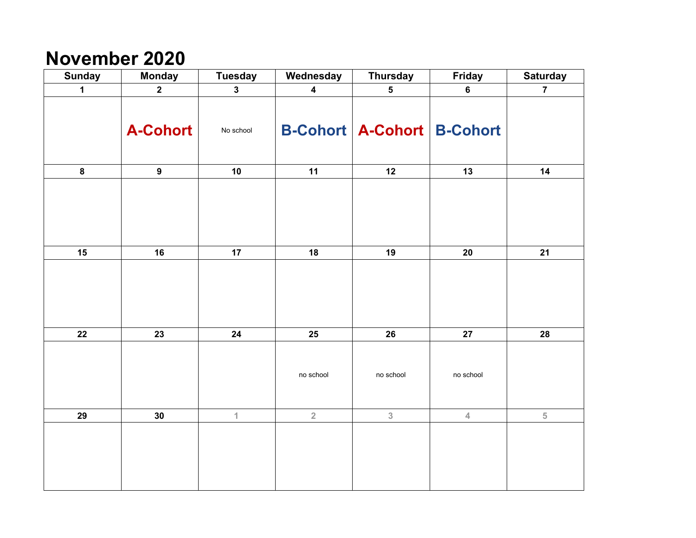## **November 2020**

| <b>Sunday</b> | <b>Monday</b>   | <b>Tuesday</b> | Wednesday               | <b>Thursday</b>                       | <b>Friday</b> | <b>Saturday</b> |
|---------------|-----------------|----------------|-------------------------|---------------------------------------|---------------|-----------------|
| $\mathbf{1}$  | $\mathbf{2}$    | $\mathbf{3}$   | $\overline{\mathbf{4}}$ | $5\phantom{.0}$                       | $\bf 6$       | $\overline{7}$  |
|               | <b>A-Cohort</b> | No school      |                         | <b>B-Cohort   A-Cohort   B-Cohort</b> |               |                 |
| $\pmb{8}$     | $\mathbf{9}$    | 10             | 11                      | 12                                    | 13            | 14              |
|               |                 |                |                         |                                       |               |                 |
| 15            | 16              | 17             | 18                      | 19                                    | 20            | 21              |
|               |                 |                |                         |                                       |               |                 |
| ${\bf 22}$    | 23              | ${\bf 24}$     | 25                      | 26                                    | 27            | 28              |
|               |                 |                | no school               | no school                             | no school     |                 |
| 29            | 30              | $\mathbf 1$    | $\mathbf 2$             | $\overline{3}$                        | $\sqrt{4}$    | $\sqrt{5}$      |
|               |                 |                |                         |                                       |               |                 |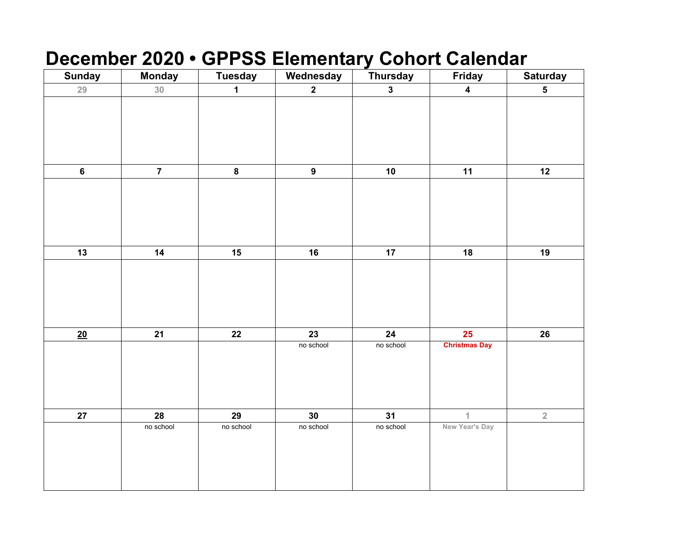# **December 2020 • GPPSS Elementary Cohort Calendar**

| <b>Sunday</b> | <b>Monday</b>   | <b>Tuesday</b> | Wednesday        | <b>Thursday</b> | <b>Friday</b>           | <b>Saturday</b>         |
|---------------|-----------------|----------------|------------------|-----------------|-------------------------|-------------------------|
| 29            | 30 <sub>o</sub> | $\mathbf 1$    | $\mathbf{2}$     | $\mathbf{3}$    | $\overline{\mathbf{4}}$ | $\overline{\mathbf{5}}$ |
|               |                 |                |                  |                 |                         |                         |
|               |                 |                |                  |                 |                         |                         |
|               |                 |                |                  |                 |                         |                         |
|               |                 |                |                  |                 |                         |                         |
|               |                 |                |                  |                 |                         |                         |
| $\bf 6$       | $\overline{7}$  | $\pmb{8}$      | $\boldsymbol{9}$ | 10              | 11                      | 12                      |
|               |                 |                |                  |                 |                         |                         |
|               |                 |                |                  |                 |                         |                         |
|               |                 |                |                  |                 |                         |                         |
|               |                 |                |                  |                 |                         |                         |
|               |                 |                |                  |                 |                         |                         |
| 13            | 14              | 15             | 16               | 17              | 18                      | 19                      |
|               |                 |                |                  |                 |                         |                         |
|               |                 |                |                  |                 |                         |                         |
|               |                 |                |                  |                 |                         |                         |
|               |                 |                |                  |                 |                         |                         |
| 20            | 21              | ${\bf 22}$     | 23               | 24              | $25\phantom{.0}$        | $26\phantom{.}$         |
|               |                 |                | no school        | no school       | <b>Christmas Day</b>    |                         |
|               |                 |                |                  |                 |                         |                         |
|               |                 |                |                  |                 |                         |                         |
|               |                 |                |                  |                 |                         |                         |
|               |                 |                |                  |                 |                         |                         |
| 27            | 28              | 29             | 30               | 31              | $\mathbf{1}$            | $\overline{2}$          |
|               | no school       | no school      | no school        | no school       | New Year's Day          |                         |
|               |                 |                |                  |                 |                         |                         |
|               |                 |                |                  |                 |                         |                         |
|               |                 |                |                  |                 |                         |                         |
|               |                 |                |                  |                 |                         |                         |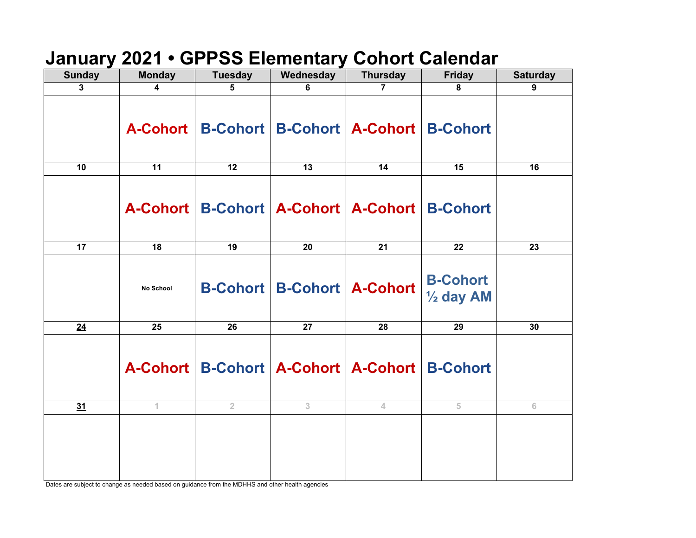### **January 2021 • GPPSS Elementary Cohort Calendar**

| <b>Sunday</b> | <b>Monday</b> | <b>Tuesday</b> | Wednesday       | <b>Thursday</b>                                      | <b>Friday</b>                           | <b>Saturday</b> |
|---------------|---------------|----------------|-----------------|------------------------------------------------------|-----------------------------------------|-----------------|
| 3             | 4             | 5              | 6               | $\overline{7}$                                       | $\overline{8}$                          | 9               |
|               |               |                |                 | A-Cohort   B-Cohort   B-Cohort   A-Cohort   B-Cohort |                                         |                 |
| 10            | 11            | 12             | 13              | 14                                                   | 15                                      | 16              |
|               |               |                |                 | A-Cohort   B-Cohort   A-Cohort   A-Cohort   B-Cohort |                                         |                 |
| 17            | 18            | 19             | 20              | 21                                                   | 22                                      | 23              |
|               | No School     |                |                 | <b>B-Cohort   B-Cohort   A-Cohort</b>                | <b>B-Cohort</b><br>$\frac{1}{2}$ day AM |                 |
| 24            | 25            | 26             | $\overline{27}$ | 28                                                   | 29                                      | 30              |
|               |               |                |                 | A-Cohort   B-Cohort   A-Cohort   A-Cohort   B-Cohort |                                         |                 |
| 31            | 1.            | $\overline{2}$ | 3               | 4                                                    | 5                                       | $\,$ 6          |
|               |               |                |                 |                                                      |                                         |                 |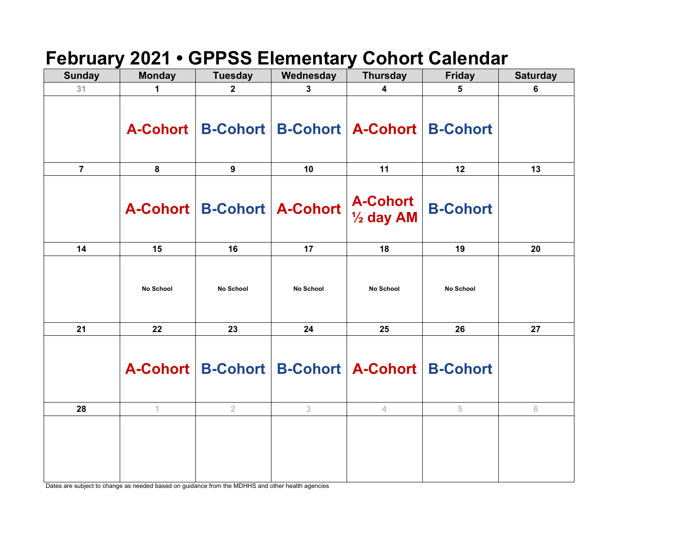### **February 2021 • GPPSS Elementary Cohort Calendar**

| <b>Sunday</b>  | <b>Monday</b>    | <b>Tuesday</b>                 | Wednesday        | <b>Thursday</b>                                      | <b>Friday</b>    | <b>Saturday</b> |
|----------------|------------------|--------------------------------|------------------|------------------------------------------------------|------------------|-----------------|
| 31             | 1                | $\mathbf{2}$                   | 3                | $\overline{\mathbf{4}}$                              | 5                | 6               |
|                |                  |                                |                  | A-Cohort   B-Cohort   B-Cohort   A-Cohort   B-Cohort |                  |                 |
| $\overline{7}$ | 8                | 9                              | 10               | 11                                                   | 12               | 13              |
|                |                  | A-Cohort   B-Cohort   A-Cohort |                  | A-Cohort<br><sup>1</sup> / <sub>2</sub> day AM       | <b>B-Cohort</b>  |                 |
| 14             | 15               | 16                             | 17               | 18                                                   | 19               | 20              |
|                | <b>No School</b> | <b>No School</b>               | <b>No School</b> | <b>No School</b>                                     | <b>No School</b> |                 |
| 21             | 22               | 23                             | 24               | 25                                                   | 26               | 27              |
|                |                  |                                |                  | A-Cohort   B-Cohort   B-Cohort   A-Cohort   B-Cohort |                  |                 |
| 28             | 1                | $\overline{2}$                 | 3                | 4.                                                   | 5                | $6\,$           |
|                |                  |                                |                  |                                                      |                  |                 |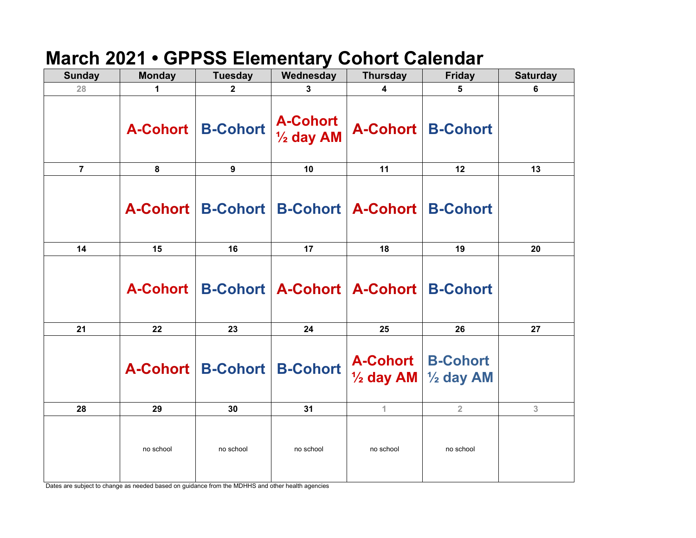# **March 2021 • GPPSS Elementary Cohort Calendar**

| <b>Sunday</b>  | <b>Monday</b> | <b>Tuesday</b>                 | Wednesday                               | <b>Thursday</b>                                      | <b>Friday</b>                             | <b>Saturday</b> |
|----------------|---------------|--------------------------------|-----------------------------------------|------------------------------------------------------|-------------------------------------------|-----------------|
| 28             | 1             | $\overline{2}$                 | 3                                       | 4                                                    | 5                                         | 6               |
|                |               | A-Cohort   B-Cohort            | <b>A-Cohort</b><br>$\frac{1}{2}$ day AM | <b>A-Cohort   B-Cohort</b>                           |                                           |                 |
| $\overline{7}$ | 8             | 9                              | 10                                      | 11                                                   | 12                                        | 13              |
|                |               |                                |                                         | A-Cohort   B-Cohort   B-Cohort   A-Cohort   B-Cohort |                                           |                 |
| 14             | 15            | 16                             | 17                                      | 18                                                   | 19                                        | 20              |
|                |               |                                |                                         | A-Cohort   B-Cohort   A-Cohort   A-Cohort   B-Cohort |                                           |                 |
| 21             | 22            | 23                             | 24                                      | 25                                                   | 26                                        | 27              |
|                |               | A-Cohort   B-Cohort   B-Cohort |                                         | A-Cohort   B-Cohort                                  | $\frac{1}{2}$ day AM $\frac{1}{2}$ day AM |                 |
| 28             | 29            | 30                             | 31                                      | 1                                                    | $\overline{2}$                            | 3               |
|                | no school     | no school                      | no school                               | no school                                            | no school                                 |                 |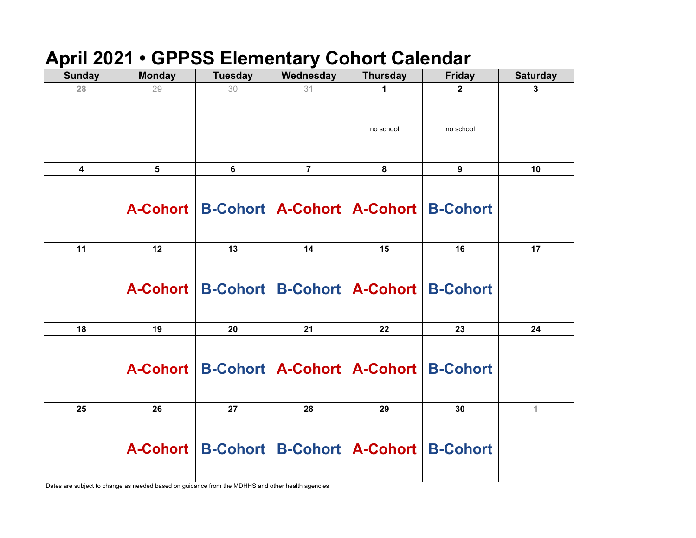### **April 2021 • GPPSS Elementary Cohort Calendar**

| <b>Sunday</b>    | <b>Monday</b>  | <b>Tuesday</b>                                       | Wednesday      | <b>Thursday</b> | <b>Friday</b> | <b>Saturday</b> |
|------------------|----------------|------------------------------------------------------|----------------|-----------------|---------------|-----------------|
| 28               | 29             | 30                                                   | 31             | 1               | $\mathbf{2}$  | 3               |
|                  |                |                                                      |                | no school       | no school     |                 |
| $\boldsymbol{4}$ | $5\phantom{1}$ | 6                                                    | $\overline{7}$ | 8               | 9             | 10              |
|                  |                | A-Cohort   B-Cohort   A-Cohort   A-Cohort   B-Cohort |                |                 |               |                 |
| 11               | 12             | 13                                                   | 14             | 15              | 16            | 17              |
|                  |                | A-Cohort   B-Cohort   B-Cohort   A-Cohort   B-Cohort |                |                 |               |                 |
| 18               | 19             | 20                                                   | 21             | 22              | 23            | 24              |
|                  |                | A-Cohort   B-Cohort   A-Cohort   A-Cohort   B-Cohort |                |                 |               |                 |
| 25               | 26             | 27                                                   | 28             | 29              | 30            | $\mathbf{1}$    |
|                  |                | A-Cohort   B-Cohort   B-Cohort   A-Cohort   B-Cohort |                |                 |               |                 |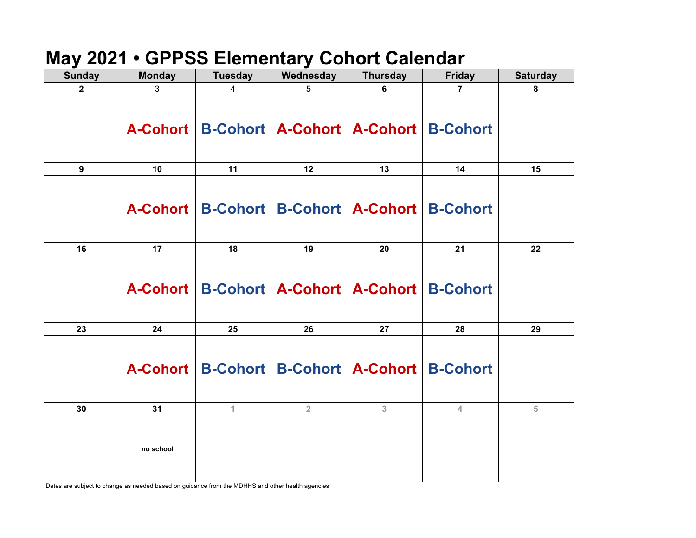### **May 2021 • GPPSS Elementary Cohort Calendar**

| <b>Sunday</b>    | <b>Monday</b> | <b>Tuesday</b> | Wednesday      | <b>Thursday</b>                                      | <b>Friday</b>  | <b>Saturday</b> |
|------------------|---------------|----------------|----------------|------------------------------------------------------|----------------|-----------------|
| $\mathbf 2$      | 3             | 4              | 5              | 6                                                    | $\overline{7}$ | 8               |
|                  |               |                |                | A-Cohort   B-Cohort   A-Cohort   A-Cohort   B-Cohort |                |                 |
| $\boldsymbol{9}$ | 10            | 11             | 12             | 13                                                   | 14             | 15              |
|                  |               |                |                | A-Cohort   B-Cohort   B-Cohort   A-Cohort   B-Cohort |                |                 |
| 16               | 17            | 18             | 19             | 20                                                   | 21             | 22              |
|                  |               |                |                | A-Cohort   B-Cohort   A-Cohort   A-Cohort   B-Cohort |                |                 |
| 23               | 24            | 25             | 26             | 27                                                   | 28             | 29              |
|                  |               |                |                | A-Cohort   B-Cohort   B-Cohort   A-Cohort   B-Cohort |                |                 |
| 30               | 31            | $\mathbf{1}$   | $\overline{2}$ | 3                                                    | $\overline{4}$ | 5               |
|                  | no school     |                |                |                                                      |                |                 |